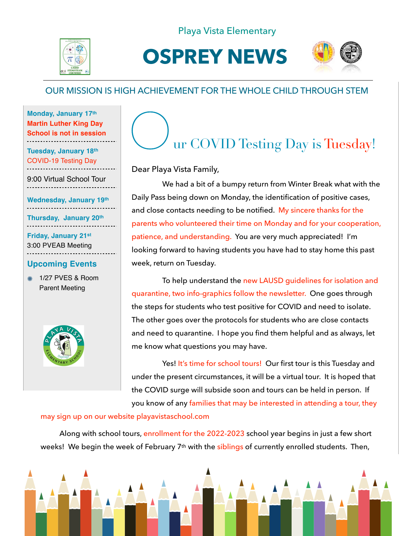### Playa Vista Elementary



# **OSPREY NEWS**



# OUR MISSION IS HIGH ACHIEVEMENT FOR THE WHOLE CHILD THROUGH STEM

**Monday, January 17th Martin Luther King Day School is not in session Tuesday, January 18th** 

COVID-19 Testing Day ....................

9:00 Virtual School Tour 

**Wednesday, January 19th** ..................................

**Thursday, January 20th**

**Friday, January 21st**  3:00 PVEAB Meeting ..................................

.................

#### **Upcoming Events**

1/27 PVES & Room Parent Meeting



# ur COVID Testing Day is Tuesday!

Dear Playa Vista Family,

We had a bit of a bumpy return from Winter Break what with the Daily Pass being down on Monday, the identification of positive cases, and close contacts needing to be notified. My sincere thanks for the parents who volunteered their time on Monday and for your cooperation, patience, and understanding. You are very much appreciated! I'm looking forward to having students you have had to stay home this past week, return on Tuesday.

To help understand the new LAUSD guidelines for isolation and quarantine, two info-graphics follow the newsletter. One goes through the steps for students who test positive for COVID and need to isolate. The other goes over the protocols for students who are close contacts and need to quarantine. I hope you find them helpful and as always, let me know what questions you may have.

Yes! It's time for school tours! Our first tour is this Tuesday and under the present circumstances, it will be a virtual tour. It is hoped that the COVID surge will subside soon and tours can be held in person. If you know of any families that may be interested in attending a tour, they

#### may sign up on our website playavistaschool.com

 Along with school tours, enrollment for the 2022-2023 school year begins in just a few short weeks! We begin the week of February 7<sup>th</sup> with the siblings of currently enrolled students. Then,